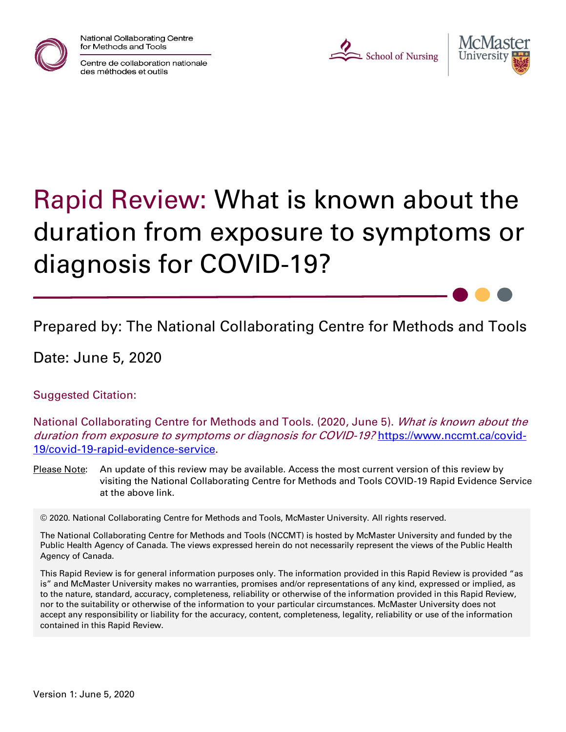

National Collaborating Centre for Methods and Tools

Centre de collaboration nationale des méthodes et outils

L School of Nursing



# Rapid Review: What is known about the duration from exposure to symptoms or diagnosis for COVID-19?

Prepared by: The National Collaborating Centre for Methods and Tools

Date: June 5, 2020

Suggested Citation:

National Collaborating Centre for Methods and Tools. (2020, June 5). What is known about the duration from exposure to symptoms or diagnosis for COVID-19? [https://www.nccmt.ca/covid-](https://www.nccmt.ca/covid-19/covid-19-rapid-evidence-service)[19/covid-19-rapid-evidence-service.](https://www.nccmt.ca/covid-19/covid-19-rapid-evidence-service)

Please Note: An update of this review may be available. Access the most current version of this review by visiting the National Collaborating Centre for Methods and Tools COVID-19 Rapid Evidence Service at the above link.

© 2020. National Collaborating Centre for Methods and Tools, McMaster University. All rights reserved.

The National Collaborating Centre for Methods and Tools (NCCMT) is hosted by McMaster University and funded by the Public Health Agency of Canada. The views expressed herein do not necessarily represent the views of the Public Health Agency of Canada.

This Rapid Review is for general information purposes only. The information provided in this Rapid Review is provided "as is" and McMaster University makes no warranties, promises and/or representations of any kind, expressed or implied, as to the nature, standard, accuracy, completeness, reliability or otherwise of the information provided in this Rapid Review, nor to the suitability or otherwise of the information to your particular circumstances. McMaster University does not accept any responsibility or liability for the accuracy, content, completeness, legality, reliability or use of the information contained in this Rapid Review.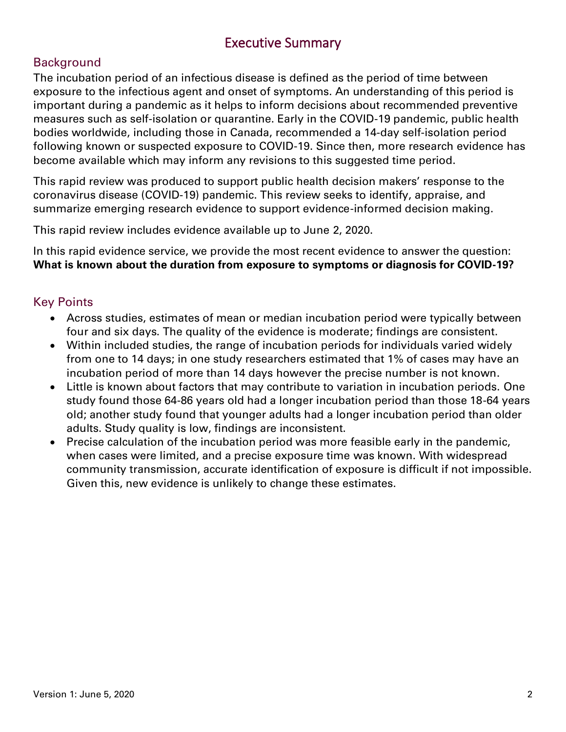### Executive Summary

#### **Background**

The incubation period of an infectious disease is defined as the period of time between exposure to the infectious agent and onset of symptoms. An understanding of this period is important during a pandemic as it helps to inform decisions about recommended preventive measures such as self-isolation or quarantine. Early in the COVID-19 pandemic, public health bodies worldwide, including those in Canada, recommended a 14-day self-isolation period following known or suspected exposure to COVID-19. Since then, more research evidence has become available which may inform any revisions to this suggested time period.

This rapid review was produced to support public health decision makers' response to the coronavirus disease (COVID-19) pandemic. This review seeks to identify, appraise, and summarize emerging research evidence to support evidence-informed decision making.

This rapid review includes evidence available up to June 2, 2020.

In this rapid evidence service, we provide the most recent evidence to answer the question: **What is known about the duration from exposure to symptoms or diagnosis for COVID-19?**

#### Key Points

- Across studies, estimates of mean or median incubation period were typically between four and six days. The quality of the evidence is moderate; findings are consistent.
- Within included studies, the range of incubation periods for individuals varied widely from one to 14 days; in one study researchers estimated that 1% of cases may have an incubation period of more than 14 days however the precise number is not known.
- Little is known about factors that may contribute to variation in incubation periods. One study found those 64-86 years old had a longer incubation period than those 18-64 years old; another study found that younger adults had a longer incubation period than older adults. Study quality is low, findings are inconsistent.
- Precise calculation of the incubation period was more feasible early in the pandemic, when cases were limited, and a precise exposure time was known. With widespread community transmission, accurate identification of exposure is difficult if not impossible. Given this, new evidence is unlikely to change these estimates.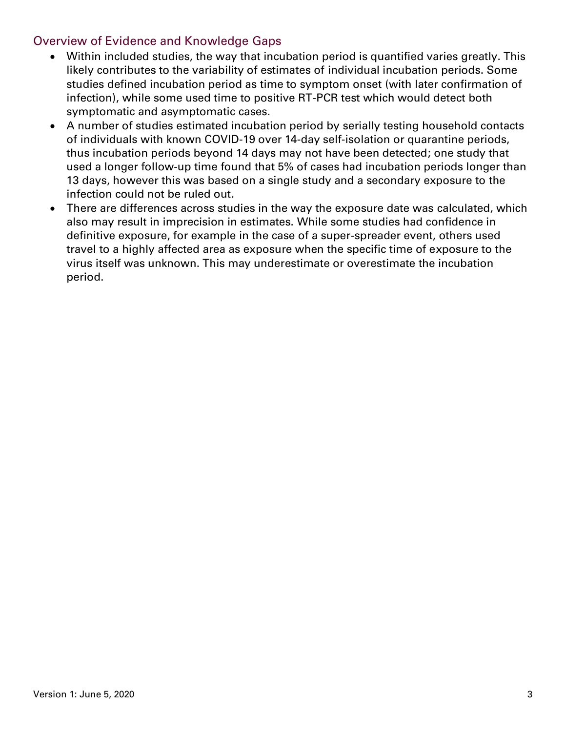#### Overview of Evidence and Knowledge Gaps

- Within included studies, the way that incubation period is quantified varies greatly. This likely contributes to the variability of estimates of individual incubation periods. Some studies defined incubation period as time to symptom onset (with later confirmation of infection), while some used time to positive RT-PCR test which would detect both symptomatic and asymptomatic cases.
- A number of studies estimated incubation period by serially testing household contacts of individuals with known COVID-19 over 14-day self-isolation or quarantine periods, thus incubation periods beyond 14 days may not have been detected; one study that used a longer follow-up time found that 5% of cases had incubation periods longer than 13 days, however this was based on a single study and a secondary exposure to the infection could not be ruled out.
- There are differences across studies in the way the exposure date was calculated, which also may result in imprecision in estimates. While some studies had confidence in definitive exposure, for example in the case of a super-spreader event, others used travel to a highly affected area as exposure when the specific time of exposure to the virus itself was unknown. This may underestimate or overestimate the incubation period.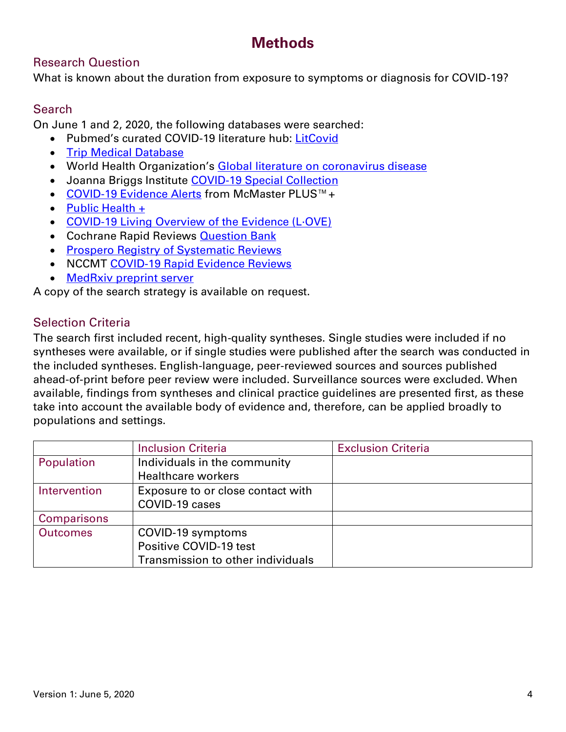## **Methods**

#### Research Question

What is known about the duration from exposure to symptoms or diagnosis for COVID-19?

#### **Search**

On June 1 and 2, 2020, the following databases were searched:

- Pubmed's curated COVID-19 literature hub: [LitCovid](https://res.nccmt.ca/2Tud6bf)
- [Trip Medical Database](https://res.nccmt.ca/2WWvsUK)
- World Health Organization's [Global literature on coronavirus disease](https://res.nccmt.ca/2ZpJCzf)
- Joanna Briggs Institute [COVID-19 Special Collection](https://res.nccmt.ca/36oRCSI)
- [COVID-19 Evidence Alerts](https://res.nccmt.ca/3bRLdjP) from McMaster PLUS™+
- [Public Health +](https://res.nccmt.ca/3cTrFgg)
- [COVID-19 Living Overview of the Evidence \(L·OVE\)](https://res.nccmt.ca/2XjIwCt)
- Cochrane Rapid Reviews **Question Bank**
- [Prospero Registry of Systematic Reviews](https://res.nccmt.ca/3cVxMAR)
- NCCMT [COVID-19 Rapid Evidence Reviews](https://res.nccmt.ca/3gg0PAX)
- [MedRxiv preprint server](https://www.medrxiv.org/)

A copy of the search strategy is available on request.

#### Selection Criteria

The search first included recent, high-quality syntheses. Single studies were included if no syntheses were available, or if single studies were published after the search was conducted in the included syntheses. English-language, peer-reviewed sources and sources published ahead-of-print before peer review were included. Surveillance sources were excluded. When available, findings from syntheses and clinical practice guidelines are presented first, as these take into account the available body of evidence and, therefore, can be applied broadly to populations and settings.

|                    | <b>Inclusion Criteria</b>         | <b>Exclusion Criteria</b> |
|--------------------|-----------------------------------|---------------------------|
| Population         | Individuals in the community      |                           |
|                    | <b>Healthcare workers</b>         |                           |
| Intervention       | Exposure to or close contact with |                           |
|                    | COVID-19 cases                    |                           |
| <b>Comparisons</b> |                                   |                           |
| <b>Outcomes</b>    | COVID-19 symptoms                 |                           |
|                    | Positive COVID-19 test            |                           |
|                    | Transmission to other individuals |                           |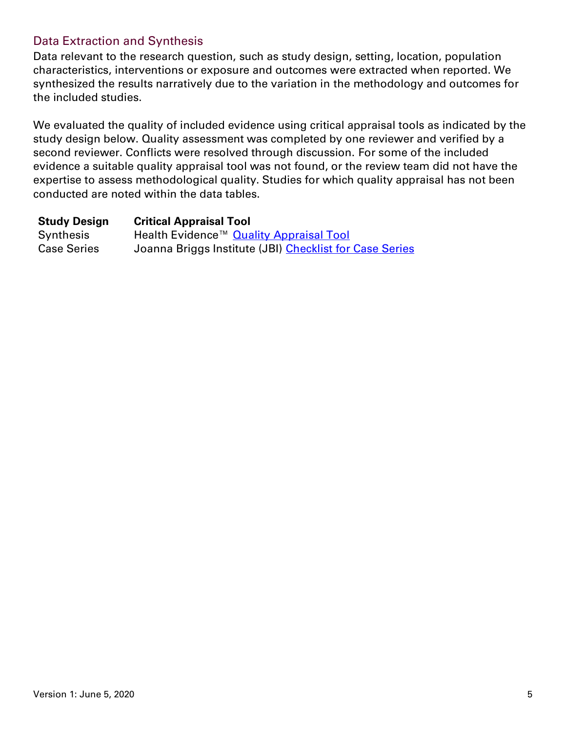#### Data Extraction and Synthesis

Data relevant to the research question, such as study design, setting, location, population characteristics, interventions or exposure and outcomes were extracted when reported. We synthesized the results narratively due to the variation in the methodology and outcomes for the included studies.

We evaluated the quality of included evidence using critical appraisal tools as indicated by the study design below. Quality assessment was completed by one reviewer and verified by a second reviewer. Conflicts were resolved through discussion. For some of the included evidence a suitable quality appraisal tool was not found, or the review team did not have the expertise to assess methodological quality. Studies for which quality appraisal has not been conducted are noted within the data tables.

| <b>Study Design</b> | <b>Critical Appraisal Tool</b>                          |
|---------------------|---------------------------------------------------------|
| Synthesis           | Health Evidence™ Quality Appraisal Tool                 |
| <b>Case Series</b>  | Joanna Briggs Institute (JBI) Checklist for Case Series |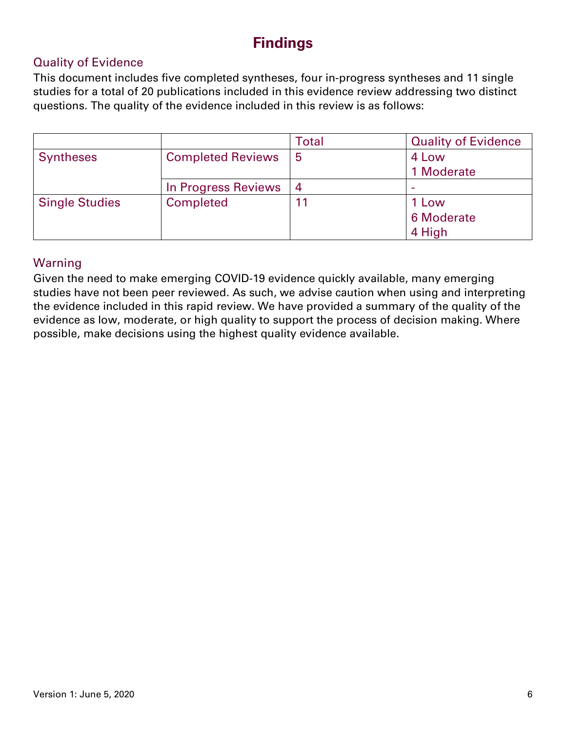## **Findings**

#### Quality of Evidence

This document includes five completed syntheses, four in-progress syntheses and 11 single studies for a total of 20 publications included in this evidence review addressing two distinct questions. The quality of the evidence included in this review is as follows:

|                       |                          | Total          | <b>Quality of Evidence</b> |
|-----------------------|--------------------------|----------------|----------------------------|
| <b>Syntheses</b>      | <b>Completed Reviews</b> | 5              | 4 Low                      |
|                       |                          |                | 1 Moderate                 |
|                       | In Progress Reviews      | $\overline{4}$ |                            |
| <b>Single Studies</b> | Completed                | 11             | 1 Low                      |
|                       |                          |                | 6 Moderate                 |
|                       |                          |                | 4 High                     |

#### Warning

Given the need to make emerging COVID-19 evidence quickly available, many emerging studies have not been peer reviewed. As such, we advise caution when using and interpreting the evidence included in this rapid review. We have provided a summary of the quality of the evidence as low, moderate, or high quality to support the process of decision making. Where possible, make decisions using the highest quality evidence available.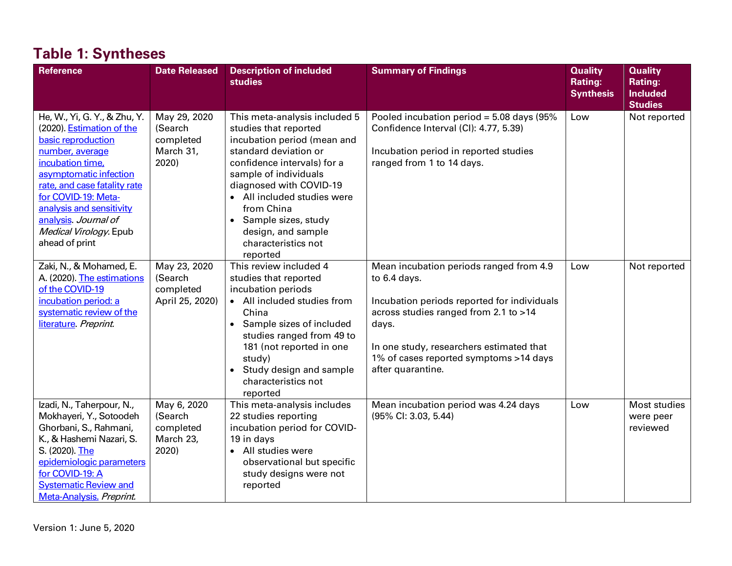| <b>Reference</b>                                                                                                                                                                                                                                                                                        | <b>Date Released</b>                                       | <b>Description of included</b><br><b>studies</b>                                                                                                                                                                                                                                                                               | <b>Summary of Findings</b>                                                                                                                                                                                                                                          | <b>Quality</b><br><b>Rating:</b><br><b>Synthesis</b> | <b>Quality</b><br>Rating:<br><b>Included</b> |
|---------------------------------------------------------------------------------------------------------------------------------------------------------------------------------------------------------------------------------------------------------------------------------------------------------|------------------------------------------------------------|--------------------------------------------------------------------------------------------------------------------------------------------------------------------------------------------------------------------------------------------------------------------------------------------------------------------------------|---------------------------------------------------------------------------------------------------------------------------------------------------------------------------------------------------------------------------------------------------------------------|------------------------------------------------------|----------------------------------------------|
|                                                                                                                                                                                                                                                                                                         |                                                            |                                                                                                                                                                                                                                                                                                                                |                                                                                                                                                                                                                                                                     |                                                      | <b>Studies</b>                               |
| He, W., Yi, G. Y., & Zhu, Y.<br>(2020). Estimation of the<br>basic reproduction<br>number, average<br>incubation time,<br>asymptomatic infection<br>rate, and case fatality rate<br>for COVID-19: Meta-<br>analysis and sensitivity<br>analysis. Journal of<br>Medical Virology. Epub<br>ahead of print | May 29, 2020<br>(Search<br>completed<br>March 31,<br>2020) | This meta-analysis included 5<br>studies that reported<br>incubation period (mean and<br>standard deviation or<br>confidence intervals) for a<br>sample of individuals<br>diagnosed with COVID-19<br>• All included studies were<br>from China<br>Sample sizes, study<br>design, and sample<br>characteristics not<br>reported | Pooled incubation period = $5.08$ days (95%)<br>Confidence Interval (CI): 4.77, 5.39)<br>Incubation period in reported studies<br>ranged from 1 to 14 days.                                                                                                         | Low                                                  | Not reported                                 |
| Zaki, N., & Mohamed, E.<br>A. (2020). The estimations<br>of the COVID-19<br>incubation period: a<br>systematic review of the<br>literature. Preprint.                                                                                                                                                   | May 23, 2020<br>(Search<br>completed<br>April 25, 2020)    | This review included 4<br>studies that reported<br>incubation periods<br>• All included studies from<br>China<br>• Sample sizes of included<br>studies ranged from 49 to<br>181 (not reported in one<br>study)<br>Study design and sample<br>characteristics not<br>reported                                                   | Mean incubation periods ranged from 4.9<br>to 6.4 days.<br>Incubation periods reported for individuals<br>across studies ranged from 2.1 to >14<br>days.<br>In one study, researchers estimated that<br>1% of cases reported symptoms >14 days<br>after quarantine. | Low                                                  | Not reported                                 |
| Izadi, N., Taherpour, N.,<br>Mokhayeri, Y., Sotoodeh<br>Ghorbani, S., Rahmani,<br>K., & Hashemi Nazari, S.<br>S. (2020). The<br>epidemiologic parameters<br>for COVID-19: A<br><b>Systematic Review and</b><br>Meta-Analysis. Preprint.                                                                 | May 6, 2020<br>(Search<br>completed<br>March 23,<br>2020)  | This meta-analysis includes<br>22 studies reporting<br>incubation period for COVID-<br>19 in days<br>• All studies were<br>observational but specific<br>study designs were not<br>reported                                                                                                                                    | Mean incubation period was 4.24 days<br>(95% CI: 3.03, 5.44)                                                                                                                                                                                                        | Low                                                  | Most studies<br>were peer<br>reviewed        |

# **Table 1: Syntheses**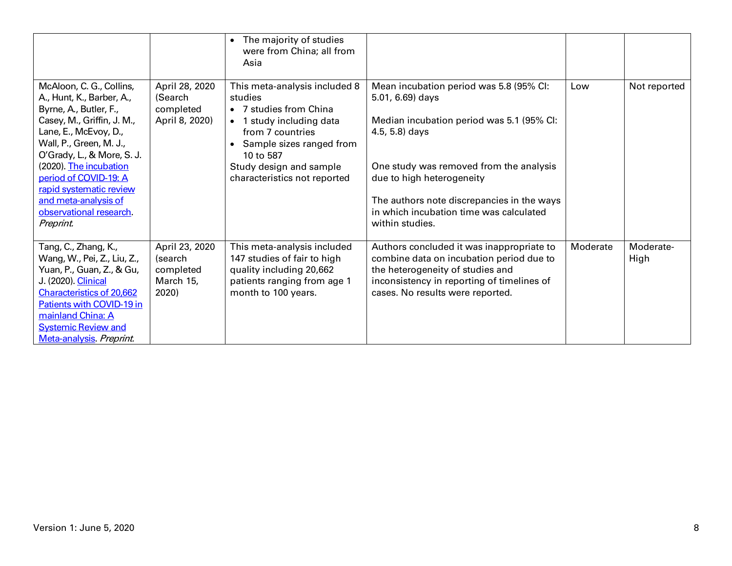|                                                                                                                                                                                                                                                                                                                                               |                                                              | The majority of studies<br>$\bullet$<br>were from China; all from<br>Asia                                                                                                                                              |                                                                                                                                                                                                                                                                                                                |          |                   |
|-----------------------------------------------------------------------------------------------------------------------------------------------------------------------------------------------------------------------------------------------------------------------------------------------------------------------------------------------|--------------------------------------------------------------|------------------------------------------------------------------------------------------------------------------------------------------------------------------------------------------------------------------------|----------------------------------------------------------------------------------------------------------------------------------------------------------------------------------------------------------------------------------------------------------------------------------------------------------------|----------|-------------------|
| McAloon, C. G., Collins,<br>A., Hunt, K., Barber, A.,<br>Byrne, A., Butler, F.,<br>Casey, M., Griffin, J. M.,<br>Lane, E., McEvoy, D.,<br>Wall, P., Green, M. J.,<br>O'Grady, L., & More, S. J.<br>(2020). The incubation<br>period of COVID-19: A<br>rapid systematic review<br>and meta-analysis of<br>observational research.<br>Preprint. | April 28, 2020<br>(Search<br>completed<br>April 8, 2020)     | This meta-analysis included 8<br>studies<br>• 7 studies from China<br>• 1 study including data<br>from 7 countries<br>Sample sizes ranged from<br>10 to 587<br>Study design and sample<br>characteristics not reported | Mean incubation period was 5.8 (95% CI:<br>5.01, 6.69) days<br>Median incubation period was 5.1 (95% CI:<br>4.5, 5.8) days<br>One study was removed from the analysis<br>due to high heterogeneity<br>The authors note discrepancies in the ways<br>in which incubation time was calculated<br>within studies. | Low      | Not reported      |
| Tang, C., Zhang, K.,<br>Wang, W., Pei, Z., Liu, Z.,<br>Yuan, P., Guan, Z., & Gu,<br>J. (2020). Clinical<br><b>Characteristics of 20,662</b><br>Patients with COVID-19 in<br>mainland China: A<br><b>Systemic Review and</b><br>Meta-analysis Preprint.                                                                                        | April 23, 2020<br>(search<br>completed<br>March 15,<br>2020) | This meta-analysis included<br>147 studies of fair to high<br>quality including 20,662<br>patients ranging from age 1<br>month to 100 years.                                                                           | Authors concluded it was inappropriate to<br>combine data on incubation period due to<br>the heterogeneity of studies and<br>inconsistency in reporting of timelines of<br>cases. No results were reported.                                                                                                    | Moderate | Moderate-<br>High |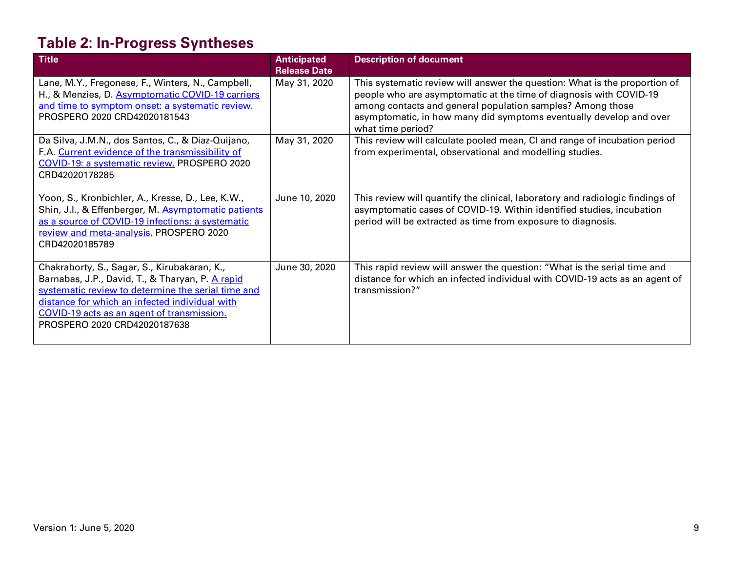# **Table 2: In-Progress Syntheses**

| <b>Title</b>                                                                                                                                                                                                                                                                           | <b>Anticipated</b><br><b>Release Date</b> | <b>Description of document</b>                                                                                                                                                                                                                                                                            |
|----------------------------------------------------------------------------------------------------------------------------------------------------------------------------------------------------------------------------------------------------------------------------------------|-------------------------------------------|-----------------------------------------------------------------------------------------------------------------------------------------------------------------------------------------------------------------------------------------------------------------------------------------------------------|
| Lane, M.Y., Fregonese, F., Winters, N., Campbell,<br>H., & Menzies, D. Asymptomatic COVID-19 carriers<br>and time to symptom onset: a systematic review.<br>PROSPERO 2020 CRD42020181543                                                                                               | May 31, 2020                              | This systematic review will answer the question: What is the proportion of<br>people who are asymptomatic at the time of diagnosis with COVID-19<br>among contacts and general population samples? Among those<br>asymptomatic, in how many did symptoms eventually develop and over<br>what time period? |
| Da Silva, J.M.N., dos Santos, C., & Diaz-Quijano,<br>F.A. Current evidence of the transmissibility of<br>COVID-19: a systematic review. PROSPERO 2020<br>CRD42020178285                                                                                                                | May 31, 2020                              | This review will calculate pooled mean, CI and range of incubation period<br>from experimental, observational and modelling studies.                                                                                                                                                                      |
| Yoon, S., Kronbichler, A., Kresse, D., Lee, K.W.,<br>Shin, J.I., & Effenberger, M. Asymptomatic patients<br>as a source of COVID-19 infections: a systematic<br>review and meta-analysis. PROSPERO 2020<br>CRD42020185789                                                              | June 10, 2020                             | This review will quantify the clinical, laboratory and radiologic findings of<br>asymptomatic cases of COVID-19. Within identified studies, incubation<br>period will be extracted as time from exposure to diagnosis.                                                                                    |
| Chakraborty, S., Sagar, S., Kirubakaran, K.,<br>Barnabas, J.P., David, T., & Tharyan, P. A rapid<br>systematic review to determine the serial time and<br>distance for which an infected individual with<br>COVID-19 acts as an agent of transmission.<br>PROSPERO 2020 CRD42020187638 | June 30, 2020                             | This rapid review will answer the question: "What is the serial time and<br>distance for which an infected individual with COVID-19 acts as an agent of<br>transmission?"                                                                                                                                 |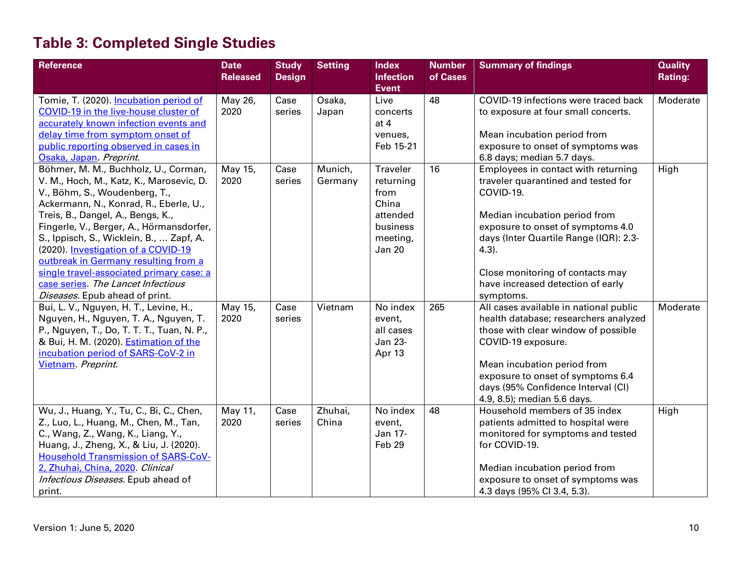# **Table 3: Completed Single Studies**

| Reference                                                                                                                                                                                                                                                                                                                                                                                                                                                                                   | <b>Date</b><br><b>Released</b> | <b>Study</b><br><b>Design</b> | <b>Setting</b>     | <b>Index</b><br><b>Infection</b>                                                            | <b>Number</b><br>of Cases | <b>Summary of findings</b>                                                                                                                                                                                                                                                                                | <b>Quality</b><br><b>Rating:</b> |
|---------------------------------------------------------------------------------------------------------------------------------------------------------------------------------------------------------------------------------------------------------------------------------------------------------------------------------------------------------------------------------------------------------------------------------------------------------------------------------------------|--------------------------------|-------------------------------|--------------------|---------------------------------------------------------------------------------------------|---------------------------|-----------------------------------------------------------------------------------------------------------------------------------------------------------------------------------------------------------------------------------------------------------------------------------------------------------|----------------------------------|
|                                                                                                                                                                                                                                                                                                                                                                                                                                                                                             |                                |                               |                    | <b>Event</b>                                                                                |                           |                                                                                                                                                                                                                                                                                                           |                                  |
| Tomie, T. (2020). Incubation period of<br>COVID-19 in the live-house cluster of<br>accurately known infection events and<br>delay time from symptom onset of<br>public reporting observed in cases in<br>Osaka, Japan. Preprint.                                                                                                                                                                                                                                                            | May 26,<br>2020                | Case<br>series                | Osaka,<br>Japan    | Live<br>concerts<br>at 4<br>venues,<br>Feb 15-21                                            | 48                        | COVID-19 infections were traced back<br>to exposure at four small concerts.<br>Mean incubation period from<br>exposure to onset of symptoms was<br>6.8 days; median 5.7 days.                                                                                                                             | Moderate                         |
| Böhmer, M. M., Buchholz, U., Corman,<br>V. M., Hoch, M., Katz, K., Marosevic, D.<br>V., Böhm, S., Woudenberg, T.,<br>Ackermann, N., Konrad, R., Eberle, U.,<br>Treis, B., Dangel, A., Bengs, K.,<br>Fingerle, V., Berger, A., Hörmansdorfer,<br>S., Ippisch, S., Wicklein, B.,  Zapf, A.<br>(2020). Investigation of a COVID-19<br>outbreak in Germany resulting from a<br>single travel-associated primary case: a<br>case series. The Lancet Infectious<br>Diseases. Epub ahead of print. | May 15,<br>2020                | Case<br>series                | Munich,<br>Germany | Traveler<br>returning<br>from<br>China<br>attended<br>business<br>meeting,<br><b>Jan 20</b> | 16                        | Employees in contact with returning<br>traveler quarantined and tested for<br>COVID-19.<br>Median incubation period from<br>exposure to onset of symptoms 4.0<br>days (Inter Quartile Range (IQR): 2.3-<br>$4.3$ ).<br>Close monitoring of contacts may<br>have increased detection of early<br>symptoms. | High                             |
| Bui, L. V., Nguyen, H. T., Levine, H.,<br>Nguyen, H., Nguyen, T. A., Nguyen, T.<br>P., Nguyen, T., Do, T. T. T., Tuan, N. P.,<br>& Bui, H. M. (2020). Estimation of the<br>incubation period of SARS-CoV-2 in<br>Vietnam. Preprint.                                                                                                                                                                                                                                                         | May 15,<br>2020                | Case<br>series                | Vietnam            | No index<br>event,<br>all cases<br>Jan 23-<br>Apr 13                                        | 265                       | All cases available in national public<br>health database; researchers analyzed<br>those with clear window of possible<br>COVID-19 exposure.<br>Mean incubation period from<br>exposure to onset of symptoms 6.4<br>days (95% Confidence Interval (CI)<br>4.9, 8.5); median 5.6 days.                     | Moderate                         |
| Wu, J., Huang, Y., Tu, C., Bi, C., Chen,<br>Z., Luo, L., Huang, M., Chen, M., Tan,<br>C., Wang, Z., Wang, K., Liang, Y.,<br>Huang, J., Zheng, X., & Liu, J. (2020).<br><b>Household Transmission of SARS-CoV-</b><br>2, Zhuhai, China, 2020. Clinical<br>Infectious Diseases. Epub ahead of<br>print.                                                                                                                                                                                       | May 11,<br>2020                | Case<br>series                | Zhuhai,<br>China   | No index<br>event,<br>Jan 17-<br>Feb 29                                                     | 48                        | Household members of 35 index<br>patients admitted to hospital were<br>monitored for symptoms and tested<br>for COVID-19.<br>Median incubation period from<br>exposure to onset of symptoms was<br>4.3 days (95% Cl 3.4, 5.3).                                                                            | High                             |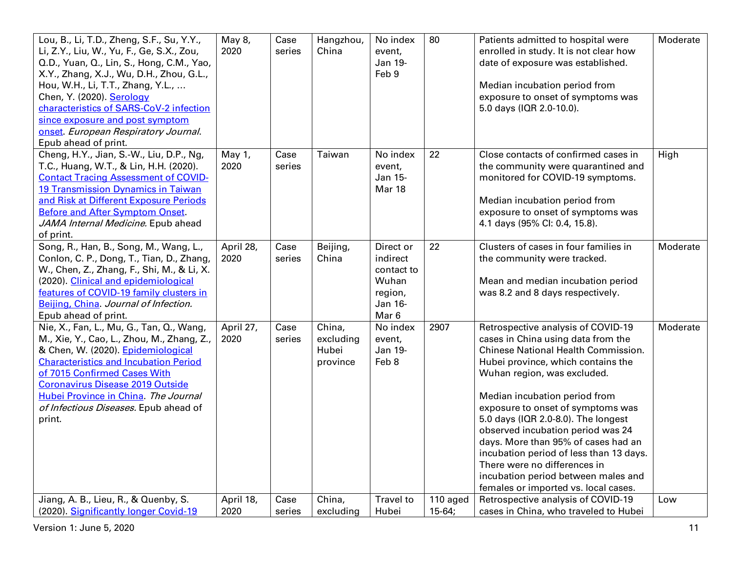| Lou, B., Li, T.D., Zheng, S.F., Su, Y.Y.,<br>Li, Z.Y., Liu, W., Yu, F., Ge, S.X., Zou,<br>Q.D., Yuan, Q., Lin, S., Hong, C.M., Yao,<br>X.Y., Zhang, X.J., Wu, D.H., Zhou, G.L.,<br>Hou, W.H., Li, T.T., Zhang, Y.L.,<br>Chen, Y. (2020). Serology<br>characteristics of SARS-CoV-2 infection<br>since exposure and post symptom<br>onset. European Respiratory Journal.<br>Epub ahead of print. | May 8,<br>2020    | Case<br>series | Hangzhou,<br>China                       | No index<br>event,<br>Jan 19-<br>Feb 9                                                 | 80                   | Patients admitted to hospital were<br>enrolled in study. It is not clear how<br>date of exposure was established.<br>Median incubation period from<br>exposure to onset of symptoms was<br>5.0 days (IQR 2.0-10.0).                                                                                                                                                                                                                                                                                                                     | Moderate |
|-------------------------------------------------------------------------------------------------------------------------------------------------------------------------------------------------------------------------------------------------------------------------------------------------------------------------------------------------------------------------------------------------|-------------------|----------------|------------------------------------------|----------------------------------------------------------------------------------------|----------------------|-----------------------------------------------------------------------------------------------------------------------------------------------------------------------------------------------------------------------------------------------------------------------------------------------------------------------------------------------------------------------------------------------------------------------------------------------------------------------------------------------------------------------------------------|----------|
| Cheng, H.Y., Jian, S.-W., Liu, D.P., Ng,<br>T.C., Huang, W.T., & Lin, H.H. (2020).<br><b>Contact Tracing Assessment of COVID-</b><br><b>19 Transmission Dynamics in Taiwan</b><br>and Risk at Different Exposure Periods<br><b>Before and After Symptom Onset.</b><br>JAMA Internal Medicine. Epub ahead<br>of print.                                                                           | May 1,<br>2020    | Case<br>series | Taiwan                                   | No index<br>event,<br>Jan 15-<br>Mar 18                                                | 22                   | Close contacts of confirmed cases in<br>the community were quarantined and<br>monitored for COVID-19 symptoms.<br>Median incubation period from<br>exposure to onset of symptoms was<br>4.1 days (95% Cl: 0.4, 15.8).                                                                                                                                                                                                                                                                                                                   | High     |
| Song, R., Han, B., Song, M., Wang, L.,<br>Conlon, C. P., Dong, T., Tian, D., Zhang,<br>W., Chen, Z., Zhang, F., Shi, M., & Li, X.<br>(2020). Clinical and epidemiological<br>features of COVID-19 family clusters in<br>Beijing, China. Journal of Infection.<br>Epub ahead of print.                                                                                                           | April 28,<br>2020 | Case<br>series | Beijing,<br>China                        | Direct or<br>indirect<br>contact to<br>Wuhan<br>region,<br>Jan 16-<br>Mar <sub>6</sub> | 22                   | Clusters of cases in four families in<br>the community were tracked.<br>Mean and median incubation period<br>was 8.2 and 8 days respectively.                                                                                                                                                                                                                                                                                                                                                                                           | Moderate |
| Nie, X., Fan, L., Mu, G., Tan, Q., Wang,<br>M., Xie, Y., Cao, L., Zhou, M., Zhang, Z.,<br>& Chen, W. (2020). Epidemiological<br><b>Characteristics and Incubation Period</b><br>of 7015 Confirmed Cases With<br><b>Coronavirus Disease 2019 Outside</b><br>Hubei Province in China. The Journal<br>of Infectious Diseases. Epub ahead of<br>print.                                              | April 27,<br>2020 | Case<br>series | China,<br>excluding<br>Hubei<br>province | No index<br>event,<br>Jan 19-<br>Feb 8                                                 | 2907                 | Retrospective analysis of COVID-19<br>cases in China using data from the<br>Chinese National Health Commission.<br>Hubei province, which contains the<br>Wuhan region, was excluded.<br>Median incubation period from<br>exposure to onset of symptoms was<br>5.0 days (IQR 2.0-8.0). The longest<br>observed incubation period was 24<br>days. More than 95% of cases had an<br>incubation period of less than 13 days.<br>There were no differences in<br>incubation period between males and<br>females or imported vs. local cases. | Moderate |
| Jiang, A. B., Lieu, R., & Quenby, S.<br>(2020). Significantly longer Covid-19                                                                                                                                                                                                                                                                                                                   | April 18,<br>2020 | Case<br>series | China,<br>excluding                      | Travel to<br>Hubei                                                                     | 110 aged<br>$15-64;$ | Retrospective analysis of COVID-19<br>cases in China, who traveled to Hubei                                                                                                                                                                                                                                                                                                                                                                                                                                                             | Low      |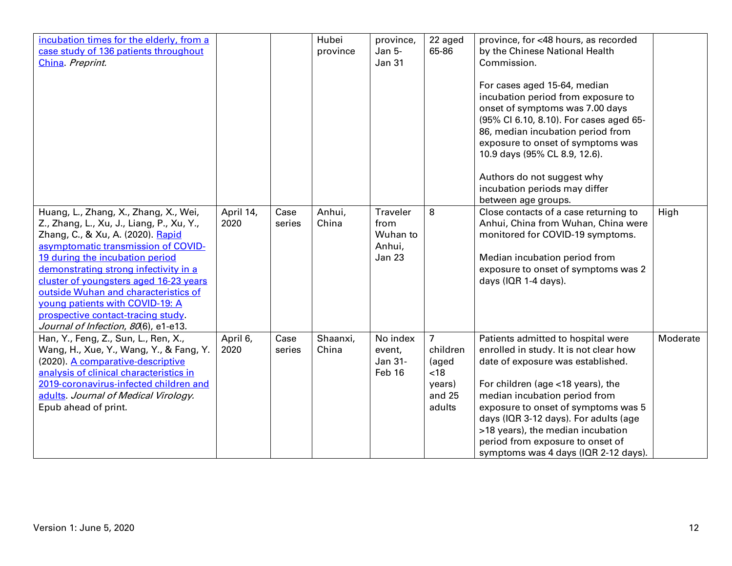| incubation times for the elderly, from a<br>case study of 136 patients throughout<br>China. Preprint.                                                                                                                                                                                                                                                                                                                                         |                   |                | Hubei<br>province | province,<br>Jan 5-<br><b>Jan 31</b>                    | 22 aged<br>65-86                                                          | province, for <48 hours, as recorded<br>by the Chinese National Health<br>Commission.<br>For cases aged 15-64, median<br>incubation period from exposure to<br>onset of symptoms was 7.00 days<br>(95% Cl 6.10, 8.10). For cases aged 65-<br>86, median incubation period from<br>exposure to onset of symptoms was<br>10.9 days (95% CL 8.9, 12.6).<br>Authors do not suggest why<br>incubation periods may differ<br>between age groups. |          |
|-----------------------------------------------------------------------------------------------------------------------------------------------------------------------------------------------------------------------------------------------------------------------------------------------------------------------------------------------------------------------------------------------------------------------------------------------|-------------------|----------------|-------------------|---------------------------------------------------------|---------------------------------------------------------------------------|--------------------------------------------------------------------------------------------------------------------------------------------------------------------------------------------------------------------------------------------------------------------------------------------------------------------------------------------------------------------------------------------------------------------------------------------|----------|
| Huang, L., Zhang, X., Zhang, X., Wei,<br>Z., Zhang, L., Xu, J., Liang, P., Xu, Y.,<br>Zhang, C., & Xu, A. (2020). Rapid<br>asymptomatic transmission of COVID-<br>19 during the incubation period<br>demonstrating strong infectivity in a<br>cluster of youngsters aged 16-23 years<br>outside Wuhan and characteristics of<br>young patients with COVID-19: A<br>prospective contact-tracing study.<br>Journal of Infection, 80(6), e1-e13. | April 14,<br>2020 | Case<br>series | Anhui,<br>China   | Traveler<br>from<br>Wuhan to<br>Anhui,<br><b>Jan 23</b> | 8                                                                         | Close contacts of a case returning to<br>Anhui, China from Wuhan, China were<br>monitored for COVID-19 symptoms.<br>Median incubation period from<br>exposure to onset of symptoms was 2<br>days (IQR 1-4 days).                                                                                                                                                                                                                           | High     |
| Han, Y., Feng, Z., Sun, L., Ren, X.,<br>Wang, H., Xue, Y., Wang, Y., & Fang, Y.<br>(2020). A comparative-descriptive<br>analysis of clinical characteristics in<br>2019-coronavirus-infected children and<br>adults. Journal of Medical Virology.<br>Epub ahead of print.                                                                                                                                                                     | April 6,<br>2020  | Case<br>series | Shaanxi,<br>China | No index<br>event,<br>Jan 31-<br>Feb 16                 | $\overline{7}$<br>children<br>(aged<br>< 18<br>years)<br>and 25<br>adults | Patients admitted to hospital were<br>enrolled in study. It is not clear how<br>date of exposure was established.<br>For children (age <18 years), the<br>median incubation period from<br>exposure to onset of symptoms was 5<br>days (IQR 3-12 days). For adults (age<br>>18 years), the median incubation<br>period from exposure to onset of<br>symptoms was 4 days (IQR 2-12 days).                                                   | Moderate |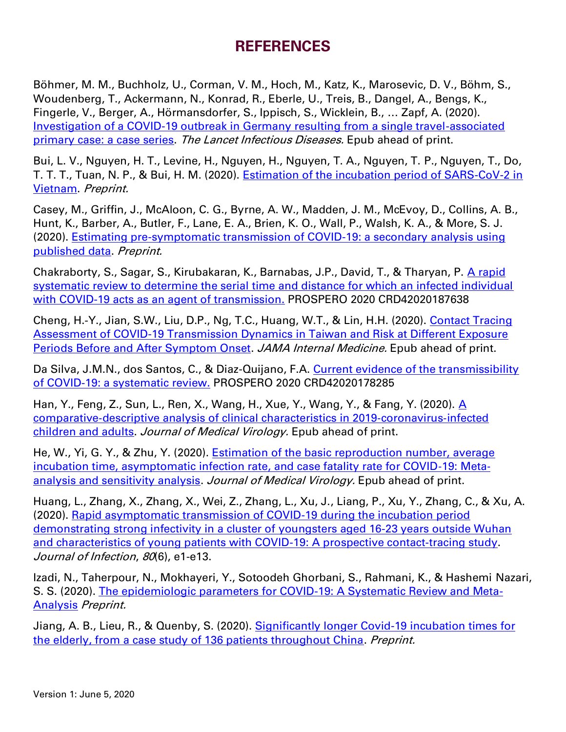## **REFERENCES**

Böhmer, M. M., Buchholz, U., Corman, V. M., Hoch, M., Katz, K., Marosevic, D. V., Böhm, S., Woudenberg, T., Ackermann, N., Konrad, R., Eberle, U., Treis, B., Dangel, A., Bengs, K., Fingerle, V., Berger, A., Hörmansdorfer, S., Ippisch, S., Wicklein, B., … Zapf, A. (2020). [Investigation of a COVID-19 outbreak in Germany resulting from a single travel-associated](https://www.thelancet.com/pdfs/journals/laninf/PIIS1473-3099(20)30314-5.pdf)  [primary case: a case series.](https://www.thelancet.com/pdfs/journals/laninf/PIIS1473-3099(20)30314-5.pdf) The Lancet Infectious Diseases. Epub ahead of print.

Bui, L. V., Nguyen, H. T., Levine, H., Nguyen, H., Nguyen, T. A., Nguyen, T. P., Nguyen, T., Do, T. T. T., Tuan, N. P., & Bui, H. M. (2020). [Estimation of the incubation period of SARS-CoV-2 in](https://www.medrxiv.org/content/10.1101/2020.05.09.20096800v1)  [Vietnam.](https://www.medrxiv.org/content/10.1101/2020.05.09.20096800v1) Preprint.

Casey, M., Griffin, J., McAloon, C. G., Byrne, A. W., Madden, J. M., McEvoy, D., Collins, A. B., Hunt, K., Barber, A., Butler, F., Lane, E. A., Brien, K. O., Wall, P., Walsh, K. A., & More, S. J. (2020). [Estimating pre-symptomatic transmission of COVID-19: a secondary analysis using](https://www.medrxiv.org/content/10.1101/2020.05.08.20094870v1)  [published data.](https://www.medrxiv.org/content/10.1101/2020.05.08.20094870v1) Preprint.

Chakraborty, S., Sagar, S., Kirubakaran, K., Barnabas, J.P., David, T., & Tharyan, P. A rapid [systematic review to determine the serial time and distance for which an infected individual](https://www.crd.york.ac.uk/prospero/display_record.php?ID=CRD42020187638)  [with COVID-19 acts as an agent of transmission.](https://www.crd.york.ac.uk/prospero/display_record.php?ID=CRD42020187638) PROSPERO 2020 CRD42020187638

Cheng, H.-Y., Jian, S.W., Liu, D.P., Ng, T.C., Huang, W.T., & Lin, H.H. (2020). [Contact Tracing](https://jamanetwork.com/journals/jamainternalmedicine/fullarticle/2765641)  [Assessment of COVID-19 Transmission Dynamics in Taiwan and Risk at Different Exposure](https://jamanetwork.com/journals/jamainternalmedicine/fullarticle/2765641)  [Periods Before and After Symptom Onset.](https://jamanetwork.com/journals/jamainternalmedicine/fullarticle/2765641) JAMA Internal Medicine. Epub ahead of print.

Da Silva, J.M.N., dos Santos, C., & Diaz-Quijano, F.A. Current evidence of the transmissibility [of COVID-19: a systematic review.](https://www.crd.york.ac.uk/prospero/display_record.php?ID=CRD42020178285) PROSPERO 2020 CRD42020178285

Han, Y., Feng, Z., Sun, L., Ren, X., Wang, H., Xue, Y., Wang, Y., & Fang, Y. (2020). A comparative‐[descriptive analysis of clinical characteristics in 2019](https://onlinelibrary.wiley.com/doi/full/10.1002/jmv.25835)‐coronavirus‐infected [children and adults.](https://onlinelibrary.wiley.com/doi/full/10.1002/jmv.25835) Journal of Medical Virology. Epub ahead of print.

He, W., Yi, G. Y., & Zhu, Y. (2020). [Estimation of the basic reproduction number, average](https://onlinelibrary.wiley.com/doi/abs/10.1002/jmv.26041)  [incubation time, asymptomatic infection rate, and case fatality rate for COVID](https://onlinelibrary.wiley.com/doi/abs/10.1002/jmv.26041)‐19: Meta‐ [analysis and sensitivity analysis.](https://onlinelibrary.wiley.com/doi/abs/10.1002/jmv.26041) Journal of Medical Virology. Epub ahead of print.

Huang, L., Zhang, X., Zhang, X., Wei, Z., Zhang, L., Xu, J., Liang, P., Xu, Y., Zhang, C., & Xu, A. (2020). [Rapid asymptomatic transmission of COVID-19 during the incubation period](https://www.journalofinfection.com/article/S0163-4453(20)30117-1/pdf)  demonstrating strong infectivity in a cluster of youngsters aged 16-23 years outside Wuhan [and characteristics of young patients with COVID-19: A prospective contact-tracing study.](https://www.journalofinfection.com/article/S0163-4453(20)30117-1/pdf) Journal of Infection, 80(6), e1-e13.

Izadi, N., Taherpour, N., Mokhayeri, Y., Sotoodeh Ghorbani, S., Rahmani, K., & Hashemi Nazari, S. S. (2020). [The epidemiologic parameters for COVID-19: A Systematic Review and Meta-](https://www.medrxiv.org/content/10.1101/2020.05.02.20088385v1.full.pdf)[Analysis](https://www.medrxiv.org/content/10.1101/2020.05.02.20088385v1.full.pdf) Preprint.

Jiang, A. B., Lieu, R., & Quenby, S. (2020). [Significantly longer Covid-19 incubation times for](https://www.medrxiv.org/content/10.1101/2020.04.14.20065896v1)  [the elderly, from a case study of 136 patients throughout China.](https://www.medrxiv.org/content/10.1101/2020.04.14.20065896v1) Preprint.